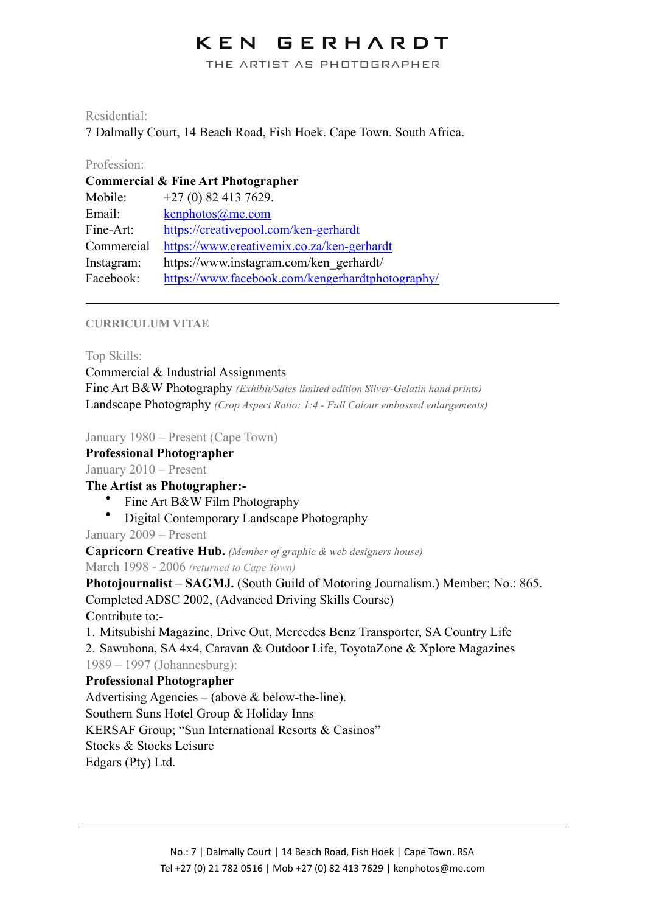#### GERHARDT KEN

THE ARTIST AS PHOTOGRAPHER

## Residential:

7 Dalmally Court, 14 Beach Road, Fish Hoek. Cape Town. South Africa.

## Profession:

| Commercial & Fine Art Photographer |                                                  |  |
|------------------------------------|--------------------------------------------------|--|
| Mobile:                            | $+27(0)$ 82 413 7629.                            |  |
| Email:                             | $k$ enphotos $@$ me.com                          |  |
| Fine-Art:                          | https://creativepool.com/ken-gerhardt            |  |
| Commercial                         | https://www.creativemix.co.za/ken-gerhardt       |  |
| Instagram:                         | https://www.instagram.com/ken_gerhardt/          |  |
| Facebook:                          | https://www.facebook.com/kengerhardtphotography/ |  |

## **CURRICULUM VITAE**

Top Skills:

Commercial & Industrial Assignments Fine Art B&W Photography *(Exhibit/Sales limited edition Silver-Gelatin hand prints)* Landscape Photography *(Crop Aspect Ratio: 1:4 - Full Colour embossed enlargements)*

January 1980 – Present (Cape Town)

**Professional Photographer** 

January 2010 – Present

**The Artist as Photographer:-** 

- Fine Art B&W Film Photography
- Digital Contemporary Landscape Photography

January 2009 – Present

**Capricorn Creative Hub.** *(Member of graphic & web designers house)*

March 1998 - 2006 *(returned to Cape Town)*

**Photojournalist** – **SAGMJ.** (South Guild of Motoring Journalism.) Member; No.: 865. Completed ADSC 2002, (Advanced Driving Skills Course)

**C**ontribute to:-

1. Mitsubishi Magazine, Drive Out, Mercedes Benz Transporter, SA Country Life 2. Sawubona, SA 4x4, Caravan & Outdoor Life, ToyotaZone & Xplore Magazines 1989 – 1997 (Johannesburg):

## **Professional Photographer**

Advertising Agencies – (above  $&$  below-the-line). Southern Suns Hotel Group & Holiday Inns KERSAF Group; "Sun International Resorts & Casinos" Stocks & Stocks Leisure Edgars (Pty) Ltd.